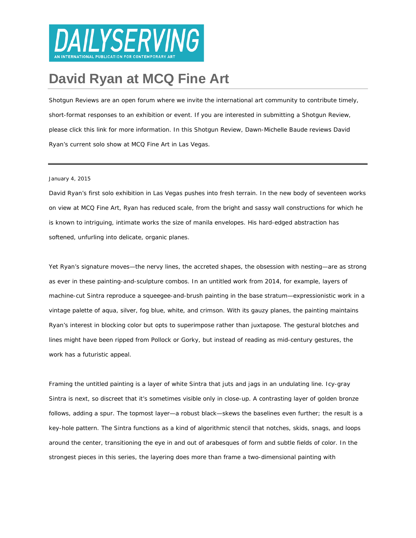

## **[David Ryan at MCQ Fine Art](http://dailyserving.com/2015/01/david-ryan-at-mcq-fine-art/)**

*Shotgun Reviews are an open forum where we invite the international art community to contribute timely, short-format responses to an exhibition or event. If you are interested in submitting a Shotgun Review, please click [this link](https://artpractical.wufoo.com/forms/shotgun-review-submission-form/) for more information. In this Shotgun Review, Dawn-Michelle Baude reviews David Ryan's current solo show at MCQ Fine Art in Las Vegas.*

## January 4, 2015

[David Ryan'](http://www.artnet.com/artists/david-ryan-2/)s first solo exhibition in Las Vegas pushes into fresh terrain. In the new body of seventeen works on view at [MCQ Fine Art,](http://mcqfineart.com/) Ryan has reduced scale, from the bright and sassy wall constructions for which he is known to intriguing, intimate works the size of manila envelopes. His hard-edged abstraction has softened, unfurling into delicate, organic planes.

Yet Ryan's signature moves—the nervy lines, the accreted shapes, the obsession with nesting—are as strong as ever in these painting-and-sculpture combos. In an untitled work from 2014, for example, layers of machine-cut Sintra reproduce a squeegee-and-brush painting in the base stratum—expressionistic work in a vintage palette of aqua, silver, fog blue, white, and crimson. With its gauzy planes, the painting maintains Ryan's interest in blocking color but opts to superimpose rather than juxtapose. The gestural blotches and lines might have been ripped from Pollock or Gorky, but instead of reading as mid-century gestures, the work has a futuristic appeal.

Framing the untitled painting is a layer of white Sintra that juts and jags in an undulating line. Icy-gray Sintra is next, so discreet that it's sometimes visible only in close-up. A contrasting layer of golden bronze follows, adding a spur. The topmost layer—a robust black—skews the baselines even further; the result is a key-hole pattern. The Sintra functions as a kind of algorithmic stencil that notches, skids, snags, and loops around the center, transitioning the eye in and out of arabesques of form and subtle fields of color. In the strongest pieces in this series, the layering does more than frame a two-dimensional painting with